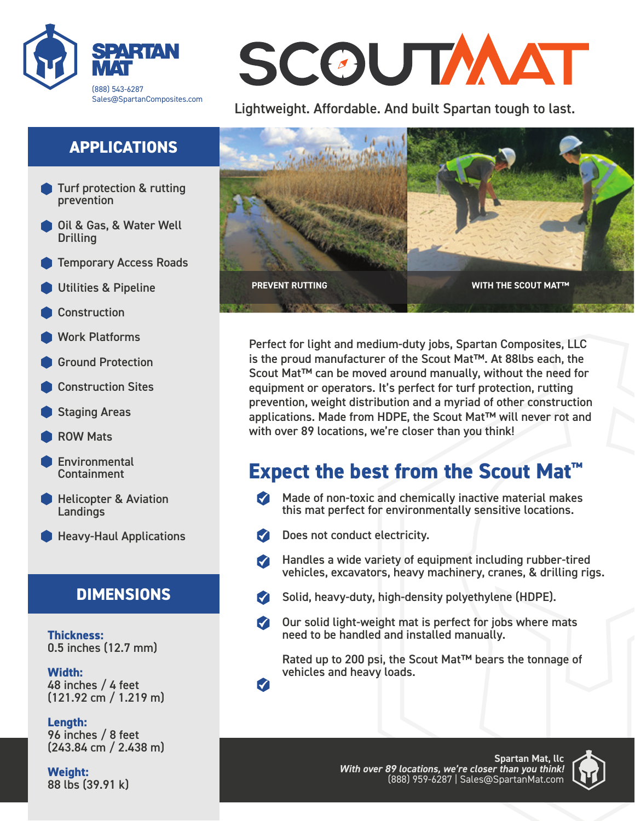

## **APPLICATIONS**

- Turf protection & rutting prevention
- Oil & Gas, & Water Well **Drilling**
- Temporary Access Roads
- Utilities & Pipeline
- **Construction**
- Work Platforms
- Ground Protection
- Construction Sites
- Staging Areas
- ROW Mats
- **Environmental** Containment
- Helicopter & Aviation **Landings**
- **Heavy-Haul Applications**

### **DIMENSIONS**

**Thickness:** 0.5 inches (12.7 mm)

**Width:** 48 inches / 4 feet (121.92 cm / 1.219 m)

**Length:** 96 inches / 8 feet (243.84 cm / 2.438 m)

**Weight:** 88 lbs (39.91 k)

# SCOUTMAT

Lightweight. Affordable. And built Spartan tough to last.



Perfect for light and medium-duty jobs, Spartan Composites, LLC is the proud manufacturer of the Scout Mat™. At 88lbs each, the Scout Mat™ can be moved around manually, without the need for equipment or operators. It's perfect for turf protection, rutting prevention, weight distribution and a myriad of other construction applications. Made from HDPE, the Scout Mat™ will never rot and with over 89 locations, we're closer than you think!

## **Expect the best from the Scout Mat™**

- $\blacksquare$  Made of non-toxic and chemically inactive material makes this mat perfect for environmentally sensitive locations.
- Does not conduct electricity.
- Handles a wide variety of equipment including rubber-tired  $\blacksquare$ vehicles, excavators, heavy machinery, cranes, & drilling rigs.
- Solid, heavy-duty, high-density polyethylene (HDPE).
- $\blacktriangledown$ Our solid light-weight mat is perfect for jobs where mats need to be handled and installed manually.

Rated up to 200 psi, the Scout Mat™ bears the tonnage of vehicles and heavy loads.

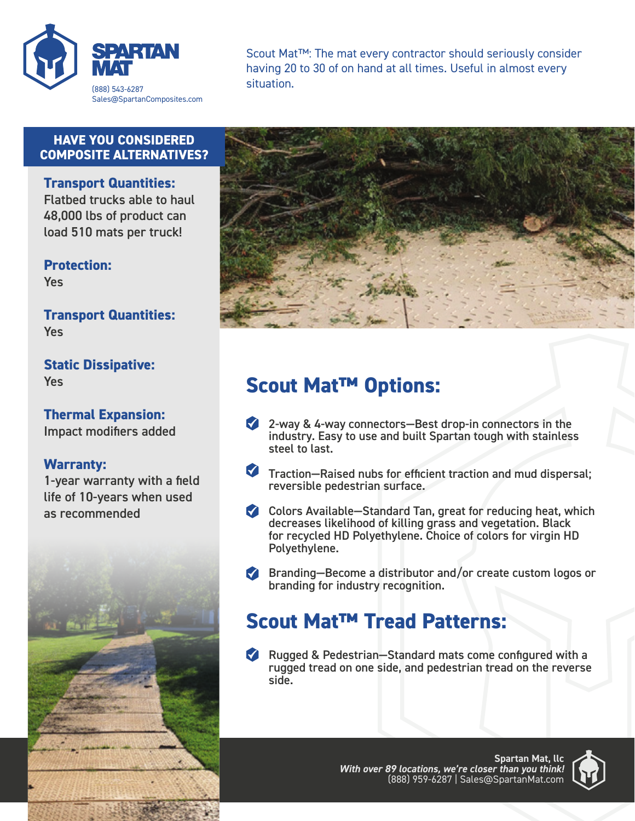

Scout Mat™: The mat every contractor should seriously consider having 20 to 30 of on hand at all times. Useful in almost every situation.

#### **HAVE YOU CONSIDERED COMPOSITE ALTERNATIVES?**

**Transport Quantities:**

Flatbed trucks able to haul 48,000 lbs of product can load 510 mats per truck!

**Protection:** Yes

**Transport Quantities:** Yes

**Static Dissipative:** Yes

**Thermal Expansion:** Impact modifiers added

#### **Warranty:**

1-year warranty with a field life of 10-years when used as recommended





## **Scout Mat™ Options:**

- 2-way & 4-way connectors—Best drop-in connectors in the industry. Easy to use and built Spartan tough with stainless steel to last.
- Traction—Raised nubs for efficient traction and mud dispersal; reversible pedestrian surface.
- Colors Available—Standard Tan, great for reducing heat, which decreases likelihood of killing grass and vegetation. Black for recycled HD Polyethylene. Choice of colors for virgin HD Polyethylene.
- **Branding–Become a distributor and/or create custom logos or** branding for industry recognition.

## **Scout Mat™ Tread Patterns:**

Rugged & Pedestrian–Standard mats come configured with a rugged tread on one side, and pedestrian tread on the reverse side.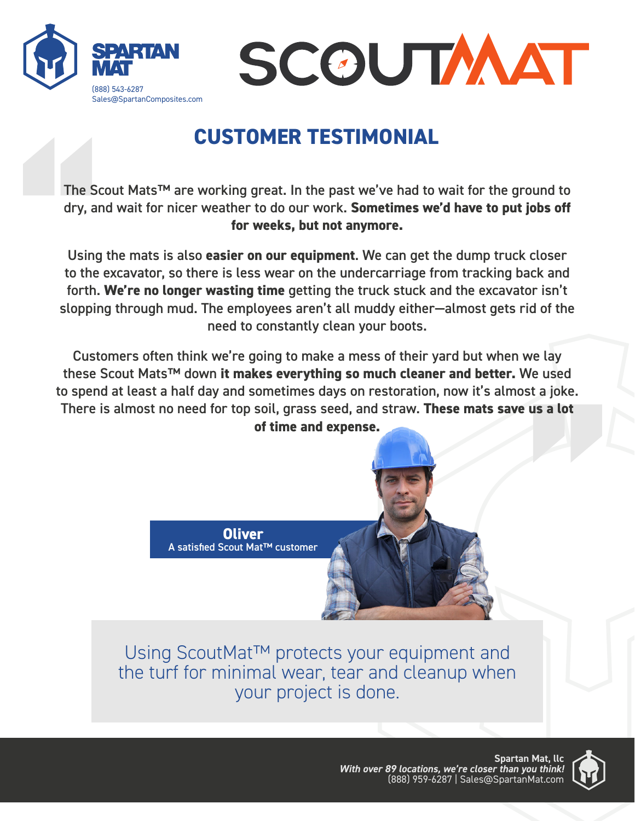



# **CUSTOMER TESTIMONIAL**

The Scout Mats™ are working great. In the past we've had to wait for the ground to dry, and wait for nicer weather to do our work. **Sometimes we'd have to put jobs off for weeks, but not anymore.**

The Sc<br>dry, ar<br>Using<br>to the<br>forth.<br>sloppir Using the mats is also **easier on our equipment**. We can get the dump truck closer to the excavator, so there is less wear on the undercarriage from tracking back and forth. **We're no longer wasting time** getting the truck stuck and the excavator isn't slopping through mud. The employees aren't all muddy either—almost gets rid of the need to constantly clean your boots.

**c** of the<br>**e** lay<br>**e** used<br>**c** a joke.<br>**s** a lot Customers often think we're going to make a mess of their yard but when we lay these Scout Mats™ down **it makes everything so much cleaner and better.** We used to spend at least a half day and sometimes days on restoration, now it's almost a joke. There is almost no need for top soil, grass seed, and straw. **These mats save us a lot of time and expense.**



Using ScoutMat™ protects your equipment and the turf for minimal wear, tear and cleanup when your project is done.